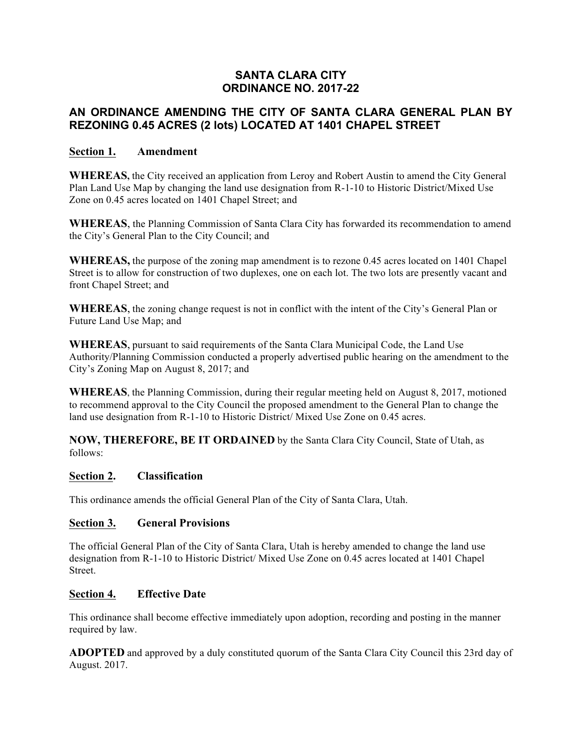## **SANTA CLARA CITY ORDINANCE NO. 2017-22**

## **AN ORDINANCE AMENDING THE CITY OF SANTA CLARA GENERAL PLAN BY REZONING 0.45 ACRES (2 lots) LOCATED AT 1401 CHAPEL STREET**

### **Section 1. Amendment**

**WHEREAS,** the City received an application from Leroy and Robert Austin to amend the City General Plan Land Use Map by changing the land use designation from R-1-10 to Historic District/Mixed Use Zone on 0.45 acres located on 1401 Chapel Street; and

**WHEREAS**, the Planning Commission of Santa Clara City has forwarded its recommendation to amend the City's General Plan to the City Council; and

**WHEREAS,** the purpose of the zoning map amendment is to rezone 0.45 acres located on 1401 Chapel Street is to allow for construction of two duplexes, one on each lot. The two lots are presently vacant and front Chapel Street; and

**WHEREAS**, the zoning change request is not in conflict with the intent of the City's General Plan or Future Land Use Map; and

**WHEREAS**, pursuant to said requirements of the Santa Clara Municipal Code, the Land Use Authority/Planning Commission conducted a properly advertised public hearing on the amendment to the City's Zoning Map on August 8, 2017; and

**WHEREAS**, the Planning Commission, during their regular meeting held on August 8, 2017, motioned to recommend approval to the City Council the proposed amendment to the General Plan to change the land use designation from R-1-10 to Historic District/ Mixed Use Zone on 0.45 acres.

**NOW, THEREFORE, BE IT ORDAINED** by the Santa Clara City Council, State of Utah, as follows:

#### **Section 2. Classification**

This ordinance amends the official General Plan of the City of Santa Clara, Utah.

#### **Section 3. General Provisions**

The official General Plan of the City of Santa Clara, Utah is hereby amended to change the land use designation from R-1-10 to Historic District/ Mixed Use Zone on 0.45 acres located at 1401 Chapel **Street**.

#### **Section 4. Effective Date**

This ordinance shall become effective immediately upon adoption, recording and posting in the manner required by law.

**ADOPTED** and approved by a duly constituted quorum of the Santa Clara City Council this 23rd day of August. 2017.